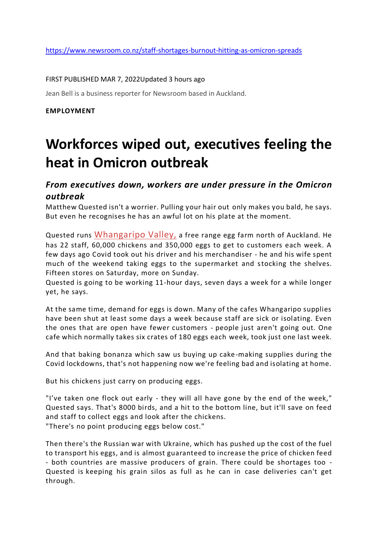### FIRST PUBLISHED MAR 7, 2022Updated 3 hours ago

Jean Bell is a business reporter for Newsroom based in Auckland.

#### **EMPLOYMENT**

# **Workforces wiped out, executives feeling the heat in Omicron outbreak**

### *From executives down, workers are under pressure in the Omicron outbreak*

Matthew Quested isn't a worrier. Pulling your hair out only makes you bald, he says. But even he recognises he has an awful lot on his plate at the moment.

Quested runs [Whangaripo Valley,](https://www.whangaripoeggs.com/) a free range egg farm north of Auckland. He has 22 staff, 60,000 chickens and 350,000 eggs to get to customers each week. A few days ago Covid took out his driver and his merchandiser - he and his wife spent much of the weekend taking eggs to the supermarket and stocking the shelves. Fifteen stores on Saturday, more on Sunday.

Quested is going to be working 11-hour days, seven days a week for a while longer yet, he says.

At the same time, demand for eggs is down. Many of the cafes Whangaripo supplies have been shut at least some days a week because staff are sick or isolating. Even the ones that are open have fewer customers - people just aren't going out. One cafe which normally takes six crates of 180 eggs each week, took just one last week.

And that baking bonanza which saw us buying up cake-making supplies during the Covid lockdowns, that's not happening now we're feeling bad and isolating at home.

But his chickens just carry on producing eggs.

"I've taken one flock out early - they will all have gone by the end of the week," Quested says. That's 8000 birds, and a hit to the bottom line, but it'll save on feed and staff to collect eggs and look after the chickens. "There's no point producing eggs below cost."

Then there's the Russian war with Ukraine, which has pushed up the cost of the fuel to transport his eggs, and is almost guaranteed to increase the price of chicken feed - both countries are massive producers of grain. There could be shortages too - Quested is keeping his grain silos as full as he can in case deliveries can't get through.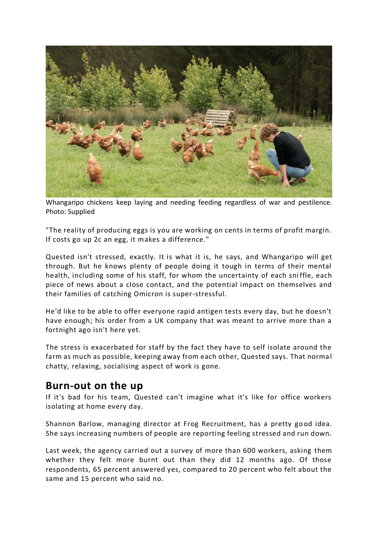

Whangaripo chickens keep laying and needing feeding regardless of war and pestilence. Photo: Supplied

"The reality of producing eggs is you are working on cents in terms of profit margin. If costs go up 2c an egg, it makes a difference."

Quested isn't stressed, exactly. It is what it is, he says, and Whangaripo will get through. But he knows plenty of people doing it tough in terms of their mental health, including some of his staff, for whom the uncertainty of each sni ffle, each piece of news about a close contact, and the potential impact on themselves and their families of catching Omicron is super-stressful.

He'd like to be able to offer everyone rapid antigen tests every day, but he doesn't have enough; his order from a UK company that was meant to arrive more than a fortnight ago isn't here yet.

The stress is exacerbated for staff by the fact they have to self isolate around the farm as much as possible, keeping away from each other, Quested says. That norma l chatty, relaxing, socialising aspect of work is gone.

## **Burn-out on the up**

If it's bad for his team, Quested can't imagine what it's like for office workers isolating at home every day.

Shannon Barlow, managing director at Frog Recruitment, has a pretty good idea. She says increasing numbers of people are reporting feeling stressed and run down.

Last week, the agency carried out a survey of more than 600 workers, asking them whether they felt more burnt out than they did 12 months ago. Of those respondents, 65 percent answered yes, compared to 20 percent who felt about the same and 15 percent who said no.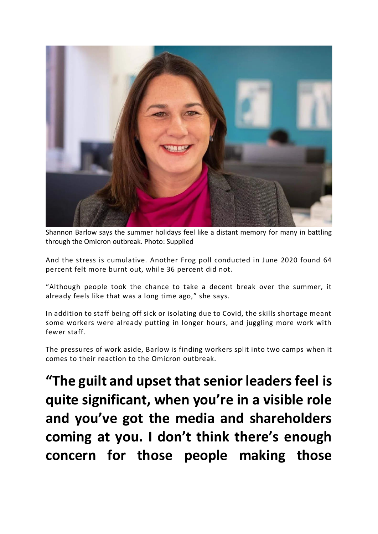

Shannon Barlow says the summer holidays feel like a distant memory for many in battling through the Omicron outbreak. Photo: Supplied

And the stress is cumulative. Another Frog poll conducted in June 2020 found 64 percent felt more burnt out, while 36 percent did not.

"Although people took the chance to take a decent break over the summer, it already feels like that was a long time ago," she says.

In addition to staff being off sick or isolating due to Covid, the skills shortage meant some workers were already putting in longer hours, and juggling more work with fewer staff.

The pressures of work aside, Barlow is finding workers split into two camps when it comes to their reaction to the Omicron outbreak.

**"The guilt and upset that senior leaders feel is quite significant, when you're in a visible role and you've got the media and shareholders coming at you. I don't think there's enough concern for those people making those**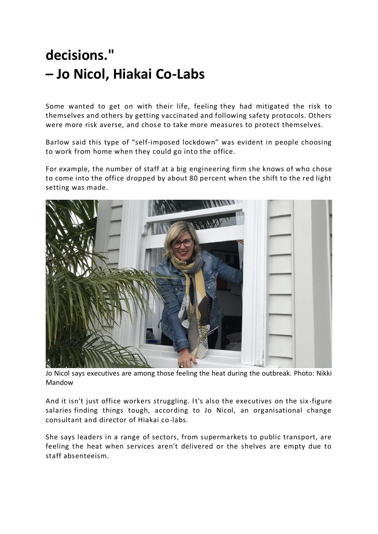# **decisions." – Jo Nicol, Hiakai Co-Labs**

Some wanted to get on with their life, feeling they had mitigated the risk to themselves and others by getting vaccinated and following safety protocols. Others were more risk averse, and chose to take more measures to protect themselves.

Barlow said this type of "self-imposed lockdown" was evident in people choosing to work from home when they could go into the office.

For example, the number of staff at a big engineering firm she knows of who chose to come into the office dropped by about 80 percent when the shift to the red light setting was made.



Jo Nicol says executives are among those feeling the heat during the outbreak. Photo: Nikki Mandow

And it isn't just office workers struggling. It's also the executives on the six-figure salaries finding things tough, according to Jo Nicol, an organisational change consultant and director of Hiakai co-labs.

She says leaders in a range of sectors, from supermarkets to public transport, are feeling the heat when services aren't delivered or the shelves are empty due to staff absenteeism.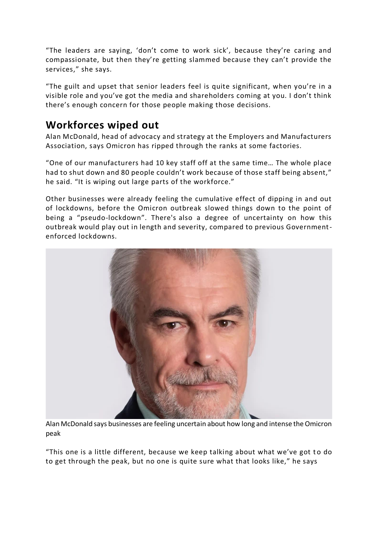"The leaders are saying, 'don't come to work sick', because they're caring and compassionate, but then they're getting slammed because they can't provide the services," she says.

"The guilt and upset that senior leaders feel is quite significant, when you're in a visible role and you've got the media and shareholders coming at you. I don't think there's enough concern for those people making those decisions.

## **Workforces wiped out**

Alan McDonald, head of advocacy and strategy at the Employers and Manufacturers Association, says Omicron has ripped through the ranks at some factories.

"One of our manufacturers had 10 key staff off at the same time… The whole place had to shut down and 80 people couldn't work because of those staff being absent," he said. "It is wiping out large parts of the workforce."

Other businesses were already feeling the cumulative effect of dipping in and out of lockdowns, before the Omicron outbreak slowed things down to the point of being a "pseudo-lockdown". There's also a degree of uncertainty on how this outbreak would play out in length and severity, compared to previous Governmentenforced lockdowns.



Alan McDonald says businesses are feeling uncertain about how long and intense the Omicron peak

"This one is a little different, because we keep talking about what we've got to do to get through the peak, but no one is quite sure what that looks like," he says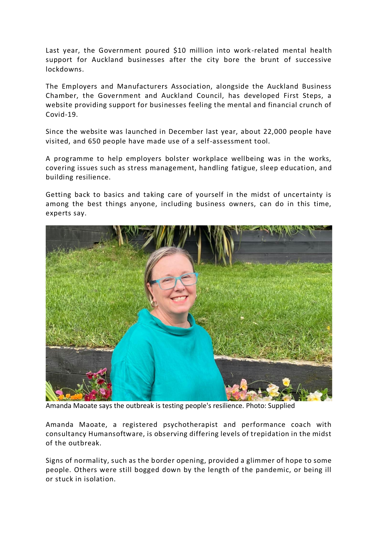Last year, the Government poured \$10 million into work -related mental health support for Auckland businesses after the city bore the brunt of successive lockdowns.

The Employers and Manufacturers Association, alongside the Auckland Business Chamber, the Government and Auckland Council, has developed First Steps, a website providing support for businesses feeling the mental and financial crunch of Covid-19.

Since the website was launched in December last year, about 22,000 people have visited, and 650 people have made use of a self-assessment tool.

A programme to help employers bolster workplace wellbeing was in the works, covering issues such as stress management, handling fatigue, sleep education, and building resilience.

Getting back to basics and taking care of yourself in the midst of uncertainty is among the best things anyone, including business owners, can do in this time, experts say.



Amanda Maoate says the outbreak is testing people's resilience. Photo: Supplied

Amanda Maoate, a registered psychotherapist and performance coach with consultancy Humansoftware, is observing differing levels of trepidation in the midst of the outbreak.

Signs of normality, such as the border opening, provided a glimmer of hope to some people. Others were still bogged down by the length of the pandemic, or being ill or stuck in isolation.